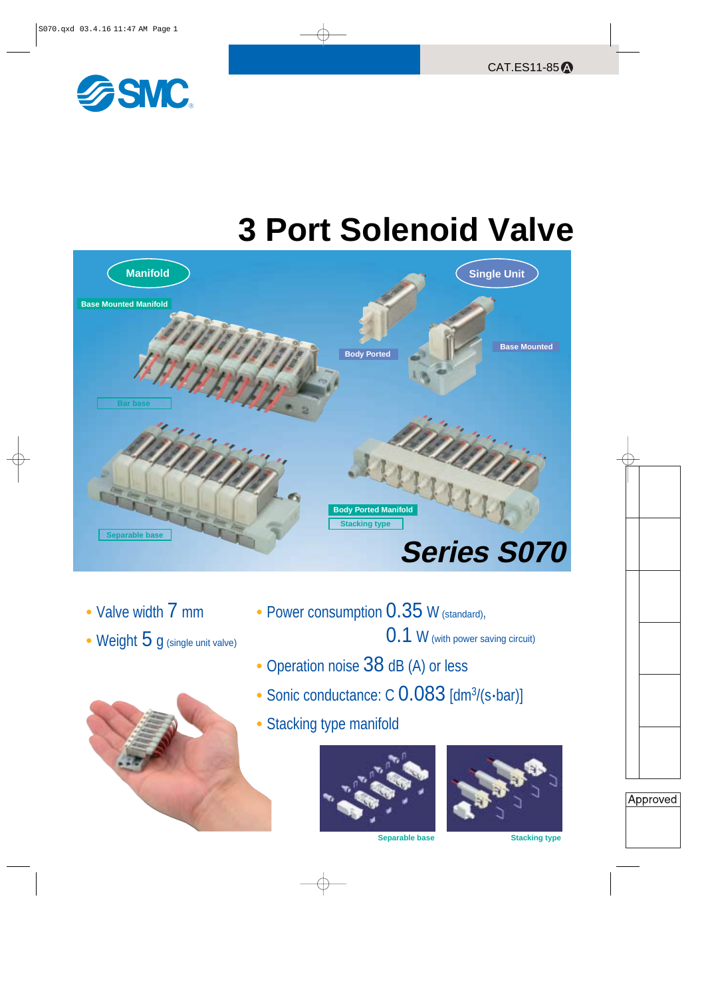

# **3 Port Solenoid Valve**



- Valve width 7 mm
- Weight 5 g (single unit valve)



**•** Power consumption 0.35 <sup>W</sup> (standard),

0.1 <sup>W</sup> (with power saving circuit)

- Operation noise 38 dB (A) or less
- Sonic conductance: C 0.083 [dm<sup>3</sup>/(s·bar)]
- Stacking type manifold



**Separable base**



**Stacking type**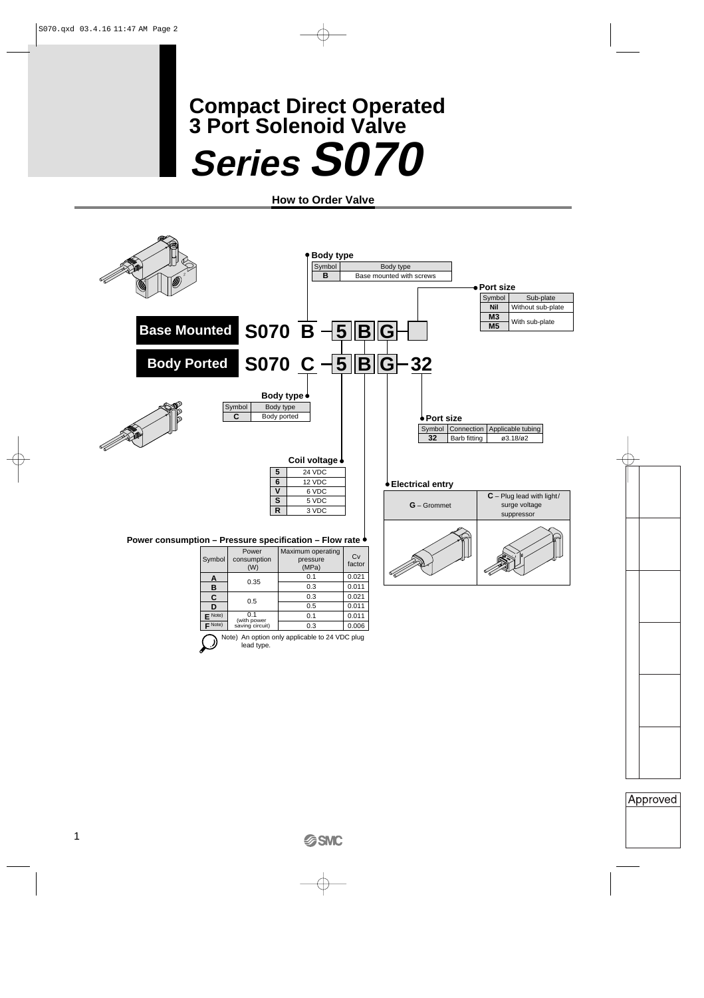# **Series S070 Compact Direct Operated 3 Port Solenoid Valve**

**How to Order Valve**

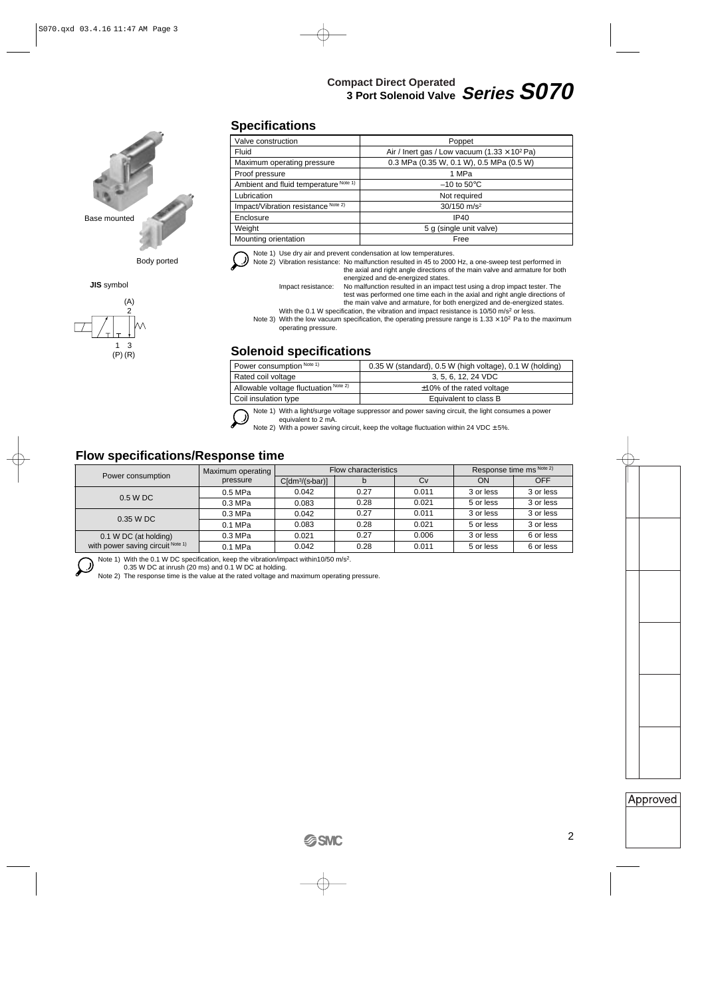# **Compact Direct Operated 3 Port Solenoid Valve Series S070**



**JIS** symbol



## **Specifications**

| Valve construction                    | Poppet                                                       |
|---------------------------------------|--------------------------------------------------------------|
| Fluid                                 | Air / Inert gas / Low vacuum $(1.33 \times 10^2 \text{ Pa})$ |
| Maximum operating pressure            | 0.3 MPa (0.35 W, 0.1 W), 0.5 MPa (0.5 W)                     |
| Proof pressure                        | 1 MPa                                                        |
| Ambient and fluid temperature Note 1) | $-10$ to 50 $\degree$ C                                      |
| Lubrication                           | Not required                                                 |
| Impact/Vibration resistance Note 2)   | 30/150 m/s <sup>2</sup>                                      |
| Enclosure                             | IP40                                                         |
| Weight                                | 5 g (single unit valve)                                      |
| Mounting orientation                  | Free                                                         |



Note 1) Use dry air and prevent condensation at low temperatures.

Note 2) Vibration resistance: No malfunction resulted in 45 to 2000 Hz, a one-sweep test performed in the axial and right angle directions of the main valve and armature for both energized and de-energized states.

Impact resistance: No malfunction resulted in an impact test using a drop impact tester. The test was performed one time each in the axial and right angle directions of the main valve and armature, for both energized and de-energized states.

With the 0.1 W specification, the vibration and impact resistance is 10/50 m/s<sup>2</sup> or less. Note 3) With the low vacuum specification, the operating pressure range is  $1.33 \times 10^2$  Pa to the maximum operating pressure.

## **Solenoid specifications**

| Power consumption Note 1)             | 0.35 W (standard), 0.5 W (high voltage), 0.1 W (holding) |
|---------------------------------------|----------------------------------------------------------|
| Rated coil voltage                    | 3, 5, 6, 12, 24 VDC                                      |
| Allowable voltage fluctuation Note 2) | $\pm$ 10% of the rated voltage                           |
| Coil insulation type                  | Equivalent to class B                                    |



equivalent to 2 mA. Note 2) With a power saving circuit, keep the voltage fluctuation within 24 VDC ± 5%.

## **Flow specifications/Response time**

|                                   | Maximum operating |                        | Flow characteristics | Response time ms Note 2) |           |            |
|-----------------------------------|-------------------|------------------------|----------------------|--------------------------|-----------|------------|
| Power consumption                 | pressure          | $C[dm^3/(s\cdot bar)]$ | D                    | Cv                       | ON        | <b>OFF</b> |
| 0.5 W DC                          | 0.5 MPa           | 0.042                  | 0.27                 | 0.011                    | 3 or less | 3 or less  |
|                                   | 0.3 MPa           | 0.083                  | 0.28                 | 0.021                    | 5 or less | 3 or less  |
| $0.35$ W DC                       | 0.3 MPa           | 0.042                  | 0.27                 | 0.011                    | 3 or less | 3 or less  |
|                                   | 0.1 MPa           | 0.083                  | 0.28                 | 0.021                    | 5 or less | 3 or less  |
| 0.1 W DC (at holding)             | 0.3 MPa           | 0.021                  | 0.27                 | 0.006                    | 3 or less | 6 or less  |
| with power saving circuit Note 1) | 0.1 MPa           | 0.042                  | 0.28                 | 0.011                    | 5 or less | 6 or less  |

Note 1) With the 0.1 W DC specification, keep the vibration/impact within10/50 m/s<sup>2</sup>.

0.35 W DC at inrush (20 ms) and 0.1 W DC at holding.

Note 2) The response time is the value at the rated voltage and maximum operating pressure.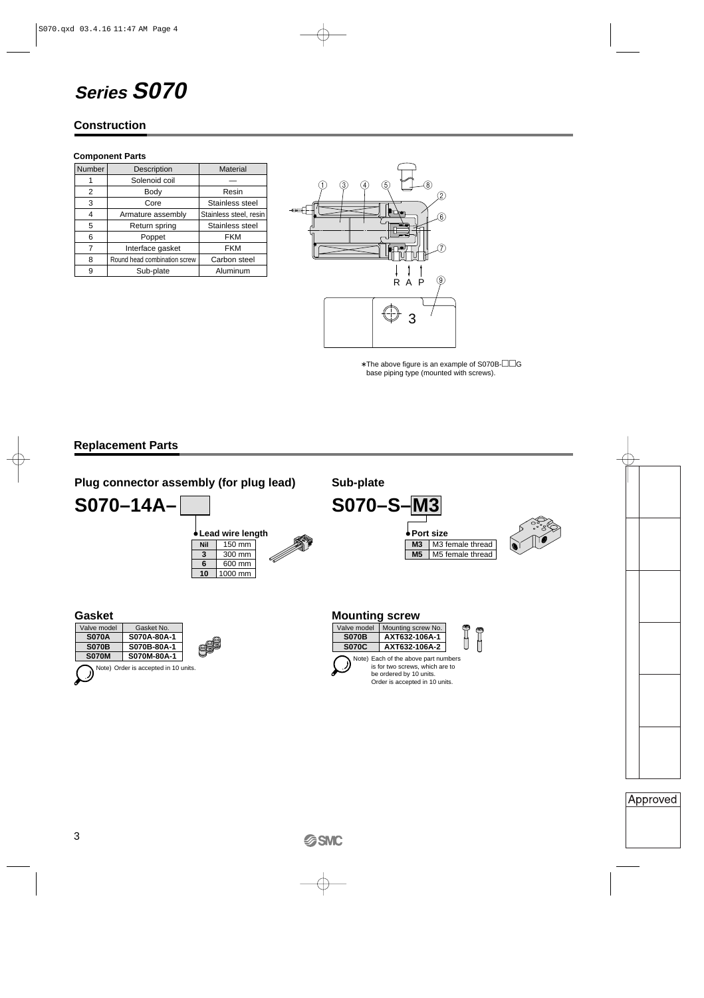# **Series S070**

## **Construction**

#### **Component Parts**

| Number | Description                  | <b>Material</b>        |
|--------|------------------------------|------------------------|
| 1      | Solenoid coil                |                        |
| 2      | Body                         | Resin                  |
| 3      | Core                         | Stainless steel        |
| 4      | Armature assembly            | Stainless steel, resin |
| 5      | Return spring                | Stainless steel        |
| 6      | Poppet                       | <b>FKM</b>             |
| 7      | Interface gasket             | <b>FKM</b>             |
| 8      | Round head combination screw | Carbon steel           |
| 9      | Sub-plate                    | Aluminum               |



∗ The above figure is an example of S070B-G base piping type (mounted with screws).

## **Replacement Parts**



**S070M S070M-80A-1** Note) Order is accepted in 10 units.

| 070C | AXT632-106A-2                        |
|------|--------------------------------------|
|      | Note) Each of the above part numbers |
|      | is for two screws, which are to      |
|      | be ordered by 10 units.              |
|      | Order is accepted in 10 units.       |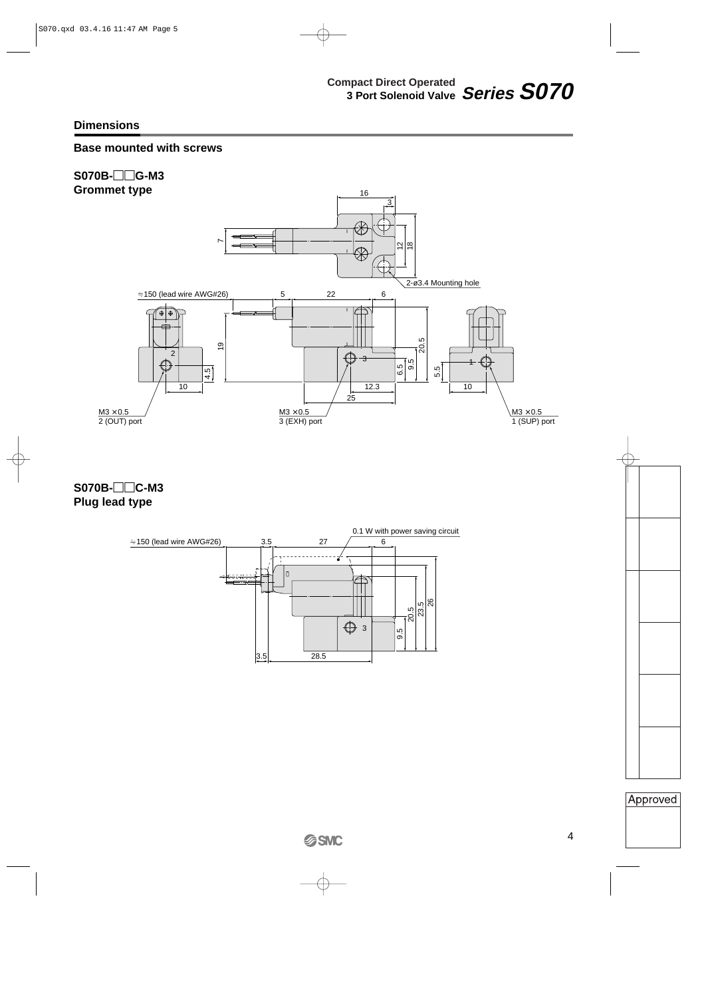## **Base mounted with screws**



**S070B-C-M3 Plug lead type**

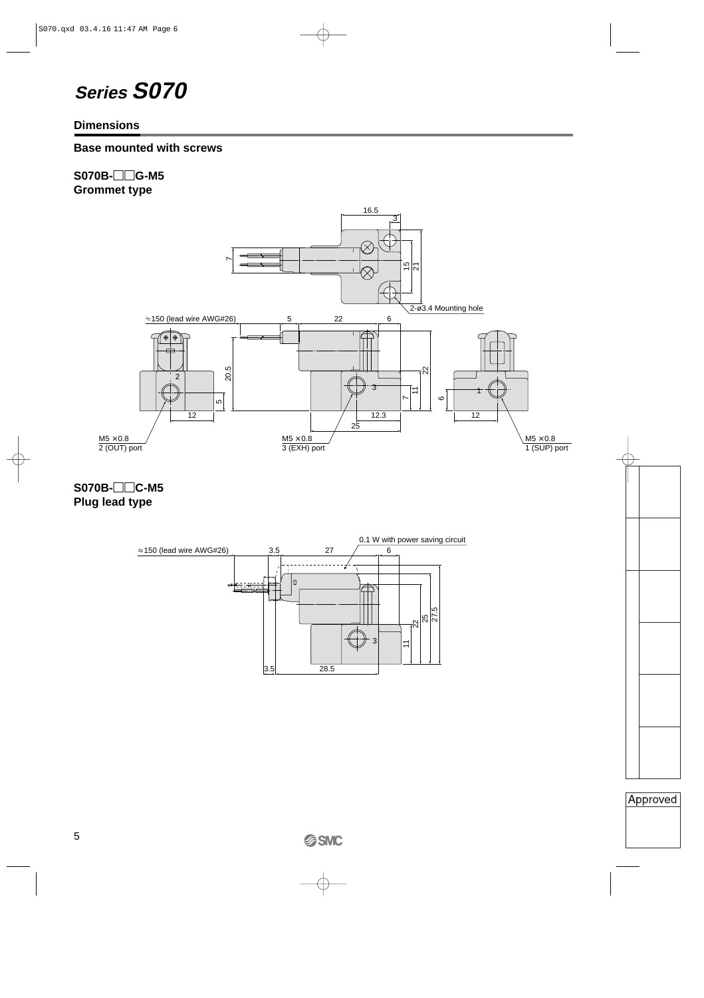## **Series S070**

## **Dimensions**

## **Base mounted with screws**

## **S070B-G-M5 Grommet type**



**S070B-C-M5 Plug lead type**

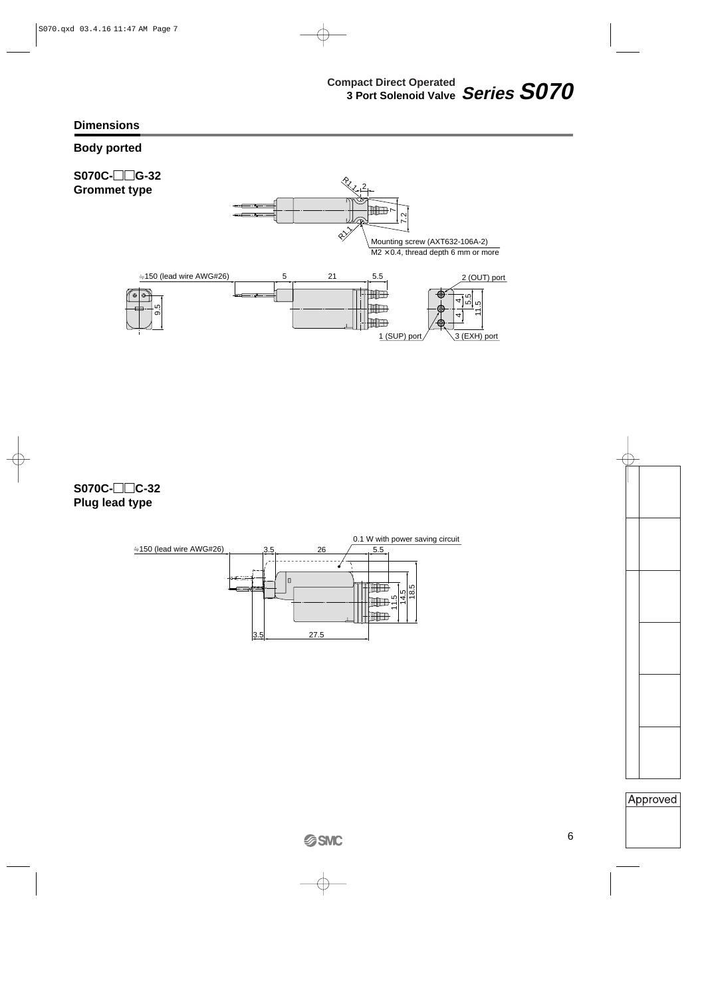## **Body ported**



**S070C-C-32 Plug lead type**

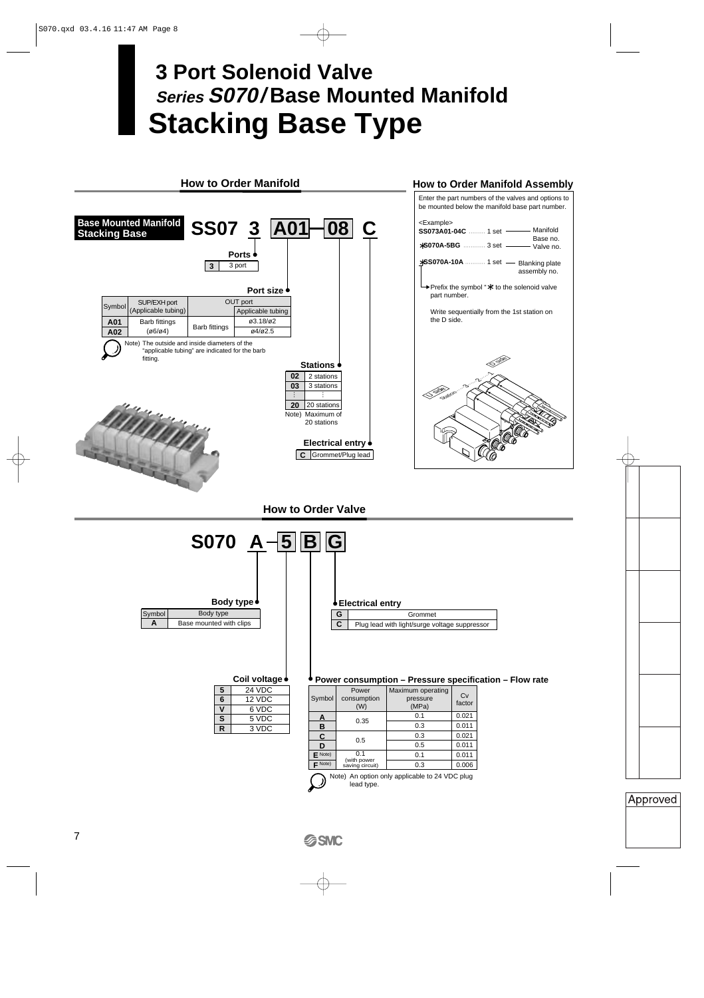# **Stacking Base Type 3 Port Solenoid Valve Series S070/ Base Mounted Manifold**

#### **How to Order Manifold Base Mounted Manifold Stacking Base Port size C** Grommet/Plug lead **Electrical entry Ports Stations 3** 3 port SS07 3 A01 08 C | 2 stations 3 stations **20** 20 stations **02 03** … **How to Order Manifold Assembly** Enter the part numbers of the valves and options to be mounted below the manifold base part number. <Example> **SS073A01-04C** ••••••••• 1 set ∗**S070A-5BG** •••••••••••• 3 set ∗**SS070A-10A** ••••••••••• 1 set Station……3……2……<sup>1</sup> O <sup>ingge</sup> O side Manifold Base no. Valve no. 1 set - Blanking plate assembly no. Note) Maximum of 20 stations Symbol SUP/EXH port OUT port (Applicable tubing) Barb fittings (ø6/ø4) **A01**  $\begin{array}{c|c|c|c} \hline \text{A01} & \text{Barb} \text{ minus} \\ \hline \text{A02} & (\emptyset 6/\emptyset 4) & & \text{Barb} \text{ fittings} \end{array}$ Applicable tubing  $(93.18)$ <sub>02</sub>  $\alpha$ 4/ $\alpha$ 2.5 Prefix the symbol "∗" to the solenoid valve part number. Write sequentially from the 1st station on the D side. Note) The outside and inside diameters of the "applicable tubing" are indicated for the barb fitting.

**How to Order Valve**

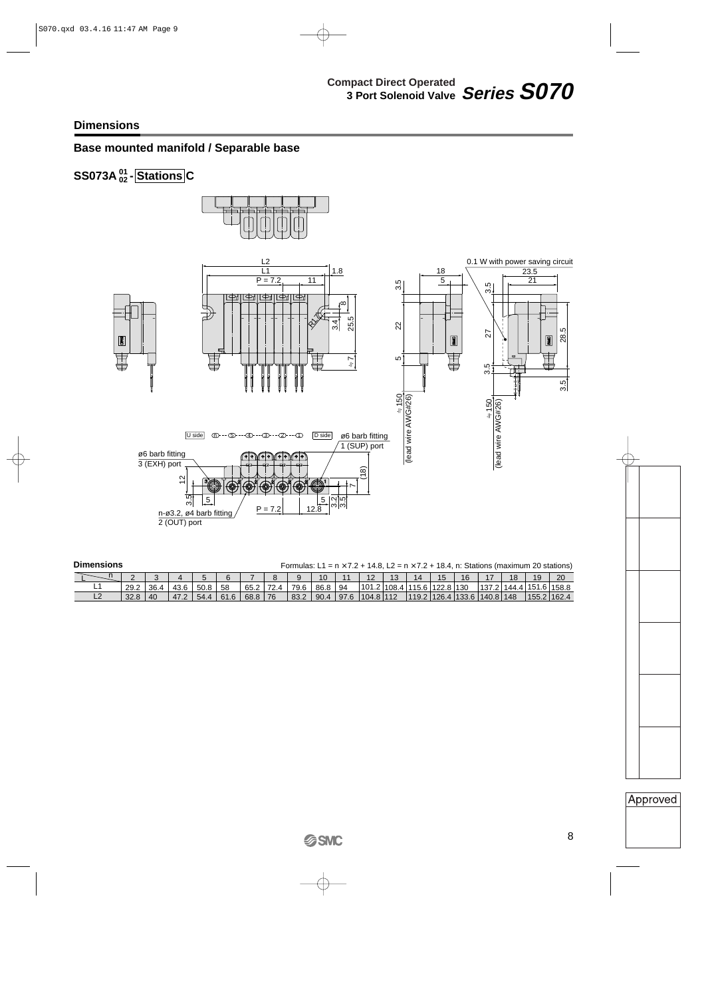L2

32.8

40

47.2

54.4

61.6

68.8

76

83.2

## **Base mounted manifold / Separable base**

#### **SS073A** <sup>01</sup><sub>02</sub> - Stations C **02**



| <b>Dimensions</b> | Formulas: L1 = $n \times 7.2 + 14.8$ , L2 = $n \times 7.2 + 18.4$ , n: Stations (maximum 20 stations) |      |             |      |    |      |  |      |      |    |            |  |                                  |     |       |       |             |    |
|-------------------|-------------------------------------------------------------------------------------------------------|------|-------------|------|----|------|--|------|------|----|------------|--|----------------------------------|-----|-------|-------|-------------|----|
|                   |                                                                                                       |      |             |      |    |      |  |      | 10   |    | $\sqrt{2}$ |  | 14                               | 16  |       | 18    |             | 20 |
| -                 | 29.2                                                                                                  | 36.4 | 10C<br>43.0 | 50.8 | 58 | 65.2 |  | 79.6 | 86.8 | 94 | 101.2      |  | <sup>∣</sup> 108.4  115.6  122.8 | 130 | 137.2 | 144.4 | 151.6 158.8 |    |

90.4

97.6

104.8

112

119.2

126.4

133.6

140.8

148

| ٧<br>$\sim$ |
|-------------|
|-------------|

155.2

162.4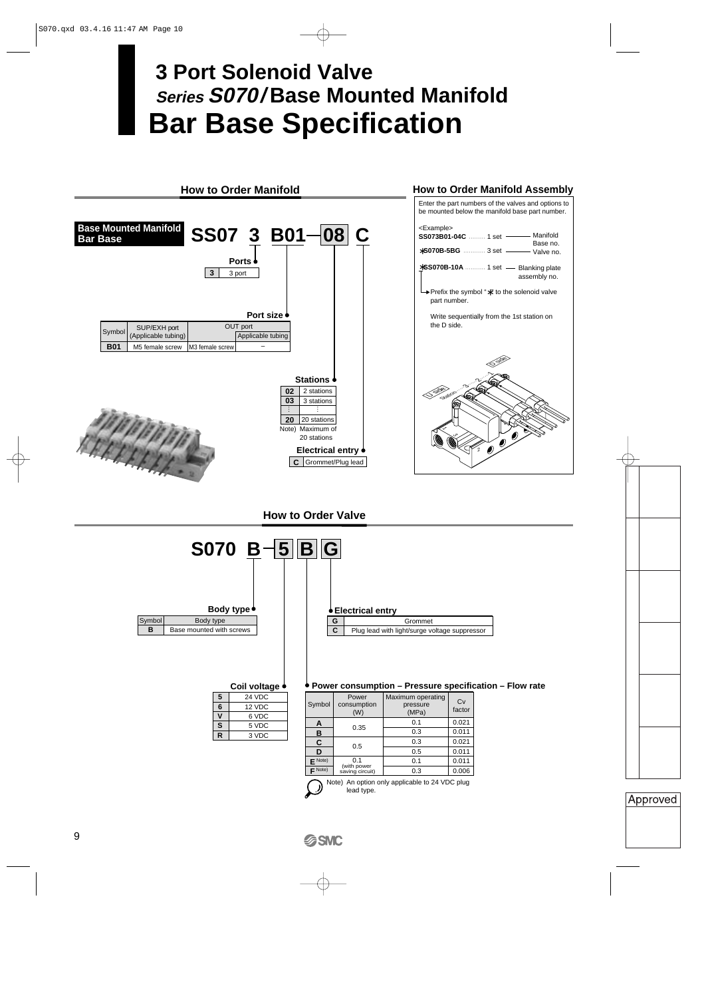# **Bar Base Specification 3 Port Solenoid Valve Series S070/ Base Mounted Manifold**

#### **How to Order Manifold How to Order Manifold Assembly** Enter the part numbers of the valves and options to be mounted below the manifold base part number. **Base Mounted Manifold** <Example> **SS07 3 B01-08 C SS073B01-04C** ••••••••• 1 set Manifold **Bar Base** Base no. ∗**S070B-5BG** •••••••••••• 3 set Valve no. **Ports** ∗**SS070B-10A** ••••••••••• 1 set Blanking plate **3** 3 port assembly no. Prefix the symbol "∗" to the solenoid valve part number. **Port size** Write sequentially from the 1st station on the D side. Symbol SUP/EXH port OUT port CUT (Applicable tubing) Applicable tubing – **B01** | M5 female screw | M3 female screw O <sup>ingge</sup> Station<sub>men</sub><br>Station……<br>Station…… **Stations**  $\mathbf{02}$  | 2 stations O side **03** 3 stations … **20** 20 stations Note) Maximum of  $\lesssim$  or 20 stations **Electrical entry** 2**C** Grommet/Plug lead

**How to Order Valve**



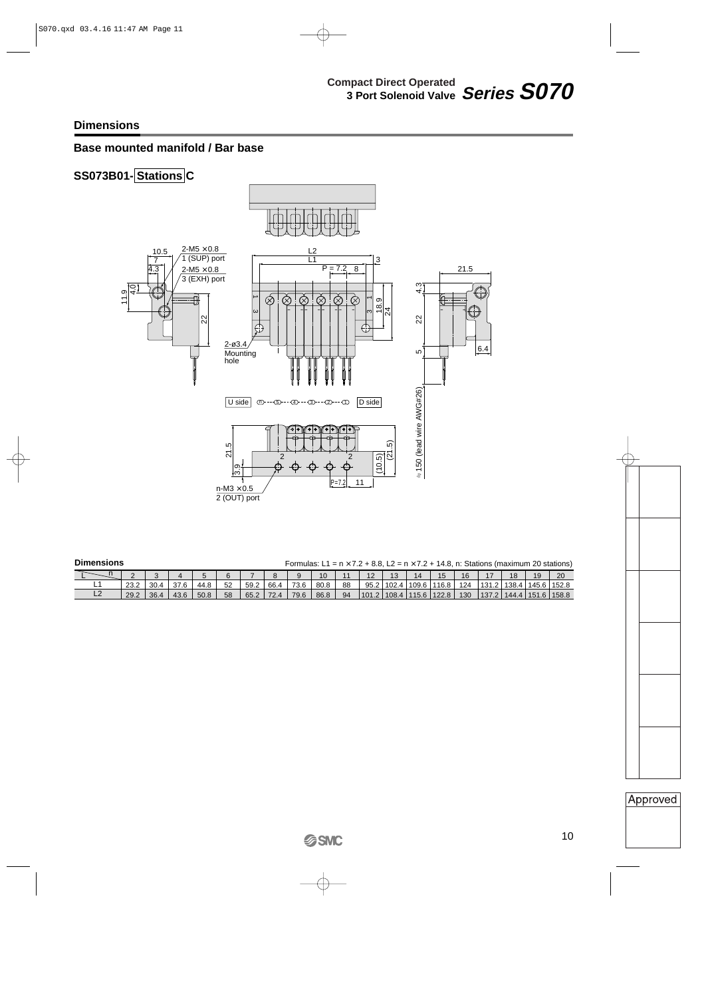## **Base mounted manifold / Bar base**

## **SS073B01- Stations C**



#### **Dimensions**

Formulas:  $L1 = n \times 7.2 + 8.8$ ,  $L2 = n \times 7.2 + 14.8$ , n: Stations (maximum 20 stations)

|   |      |      |      |      |    |      |      |      | 10   |    | າດ<br>ΙZ | ັ     |       |               | 16  |       | 19 | 20                            |
|---|------|------|------|------|----|------|------|------|------|----|----------|-------|-------|---------------|-----|-------|----|-------------------------------|
|   |      | 30.4 | 37.6 | 44.8 | 52 | 59.2 | 66.4 | 73.6 | 80.8 | 88 | 95.2     | 102.4 | 109.6 | 116.8         | 124 | 131.2 |    | 138.4 145.6 152.8             |
| ∽ | 29.2 | 36.4 | 43.6 | 50.8 | 58 | 65.2 | 72.4 | 79.6 | 86.8 | 94 | 101.2    | 108.4 |       | 115.6   122.8 | 130 |       |    | 137.2   144.4   151.6   158.8 |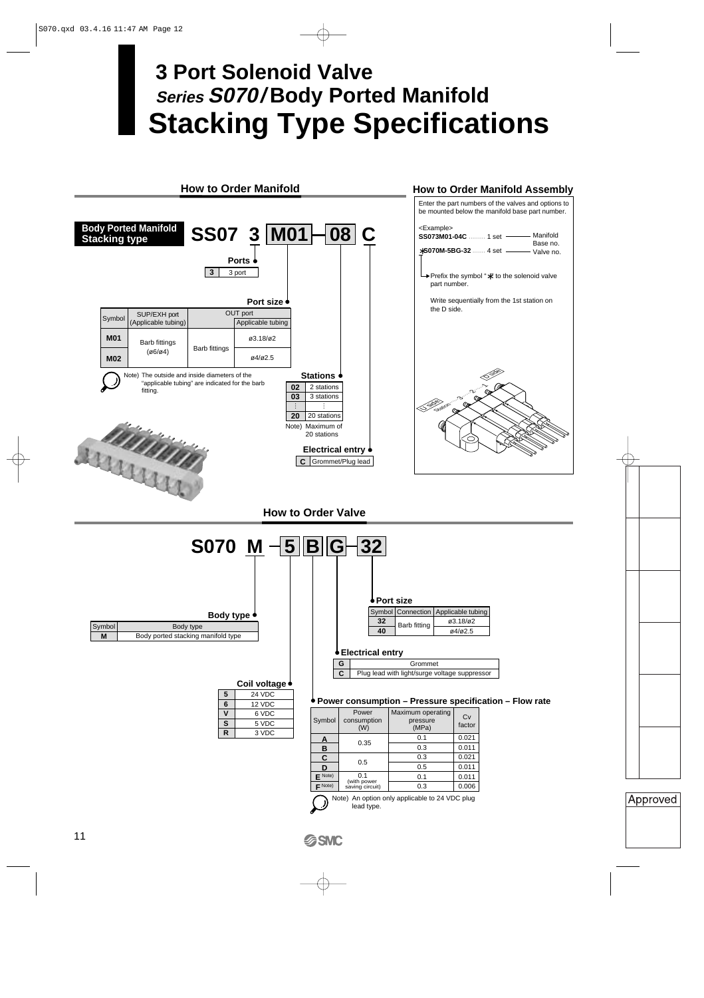# **Stacking Type Specifications 3 Port Solenoid Valve Series S070/ Body Ported Manifold**

#### **How to Order Manifold**

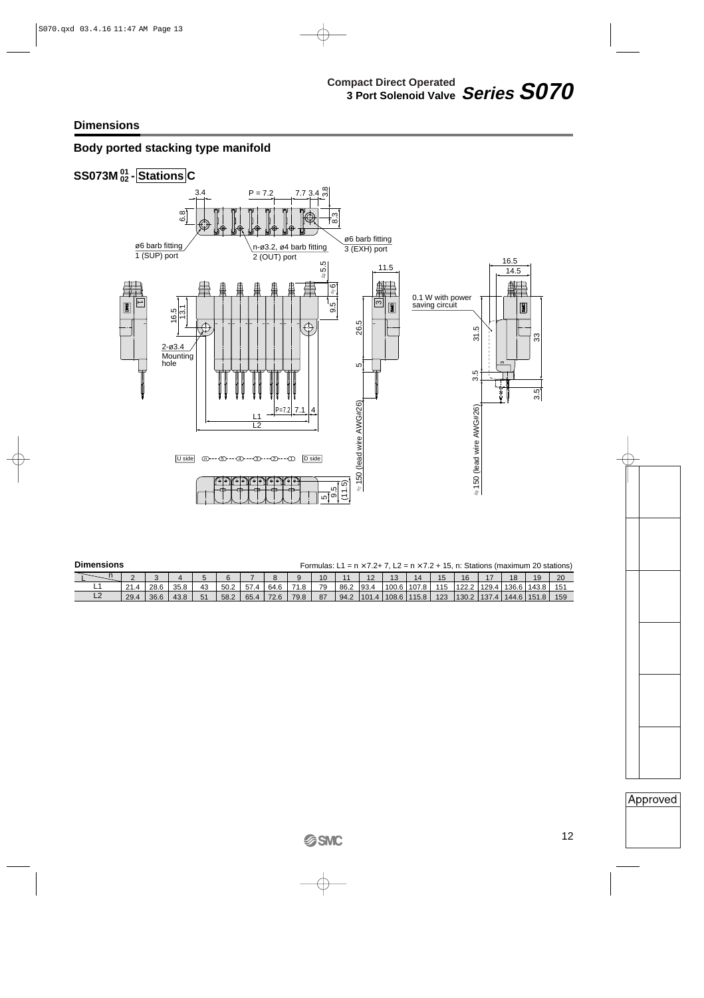## **Body ported stacking type manifold**



| <b>Dimensions</b> | Formulas: L1 = $n \times 7.2 + 7$ , L2 = $n \times 7.2 + 15$ , n: Stations (maximum 20 stations) |  |
|-------------------|--------------------------------------------------------------------------------------------------|--|

|     |      |      |      |    |      |               |      |      |    | $\sim$ | . <u>. .</u> |       |       | C   | 16    | 47    | 18    | 19    | 20  |
|-----|------|------|------|----|------|---------------|------|------|----|--------|--------------|-------|-------|-----|-------|-------|-------|-------|-----|
| - - | 21.4 | 28.6 | 35.8 | 43 | 50.2 | $- -$<br>57.4 | 64.6 | ن.   | 79 | 86.2   | '93.4        | 100.6 | 107.8 | 115 | 122.2 | 129.4 | 136.6 | 143.8 |     |
| --  | 29.4 | 36.6 | 43.8 | 51 | 58.2 | 65.4          | 72.6 | 79.8 | 87 | 94.2   | 101.4        | 108.6 | 115.8 | 123 | 130.2 | 137.4 | 144.6 | 151.8 | 159 |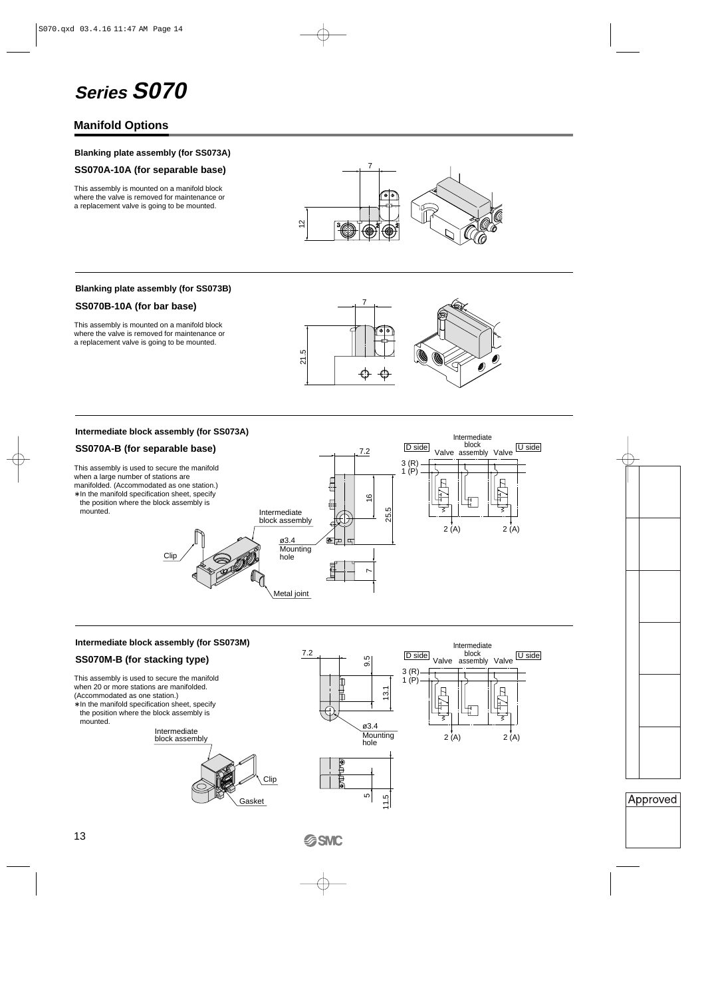# **Series S070**

## **Manifold Options**

#### **Blanking plate assembly (for SS073A)**

#### **SS070A-10A (for separable base)**

This assembly is mounted on a manifold block where the valve is removed for maintenance or a replacement valve is going to be mounted.



#### **Blanking plate assembly (for SS073B)**

#### **SS070B-10A (for bar base)**

This assembly is mounted on a manifold block where the valve is removed for maintenance or a replacement valve is going to be mounted.



Intermediate block assembly

D side block U side

Valve

Valve

Intermediate

#### **Intermediate block assembly (for SS073A)**

#### **SS070A-B (for separable base)**

This assembly is used to secure the manifold when a large number of stations are manifolded. (Accommodated as one station.)

∗ In the manifold specification sheet, specify the position where the block assembly is mounted.



7.2

#### **Intermediate block assembly (for SS073M)**

#### **SS070M-B (for stacking type)**

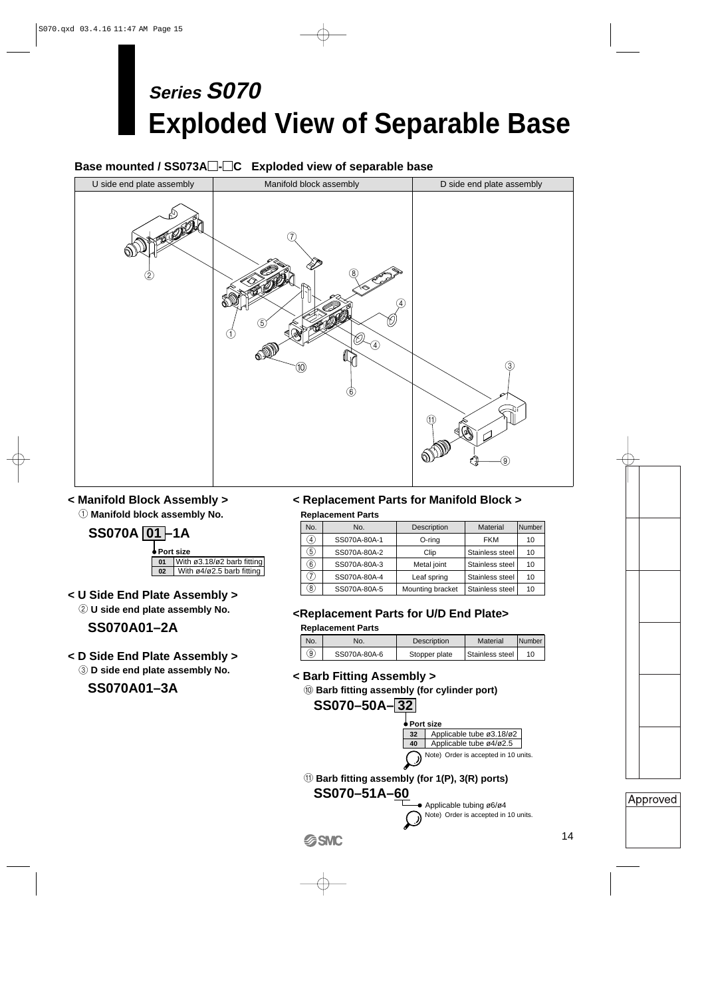# **Exploded View of Separable Base Series S070**

## **Base mounted / SS073A-C Exploded view of separable base**



## **< Manifold Block Assembly >**

1 **Manifold block assembly No.**



**< U Side End Plate Assembly >** 2 **U side end plate assembly No.**

## **SS070A01–2A**

**< D Side End Plate Assembly >**

3 **D side end plate assembly No.**

**SS070A01–3A**

## **< Replacement Parts for Manifold Block > Replacement Parts**

| No.               | No.          | Description      | Material        | Number |
|-------------------|--------------|------------------|-----------------|--------|
| $\left( 4\right)$ | SS070A-80A-1 | O-ring           | <b>FKM</b>      | 10     |
| 5)                | SS070A-80A-2 | Clip             | Stainless steel | 10     |
| $\left( 6\right)$ | SS070A-80A-3 | Metal joint      | Stainless steel | 10     |
| 7)                | SS070A-80A-4 | Leaf spring      | Stainless steel | 10     |
| $^{(8)}$          | SS070A-80A-5 | Mounting bracket | Stainless steel | 10     |

## **<Replacement Parts for U/D End Plate>**

#### **Replacement Parts**

| No. | No.          | <b>Description</b> | Material        | l Number |
|-----|--------------|--------------------|-----------------|----------|
| ୕ୢୠ | SS070A-80A-6 | Stopper plate      | Stainless steel | 10       |

**< Barb Fitting Assembly >**

0 **Barb fitting assembly (for cylinder port)**

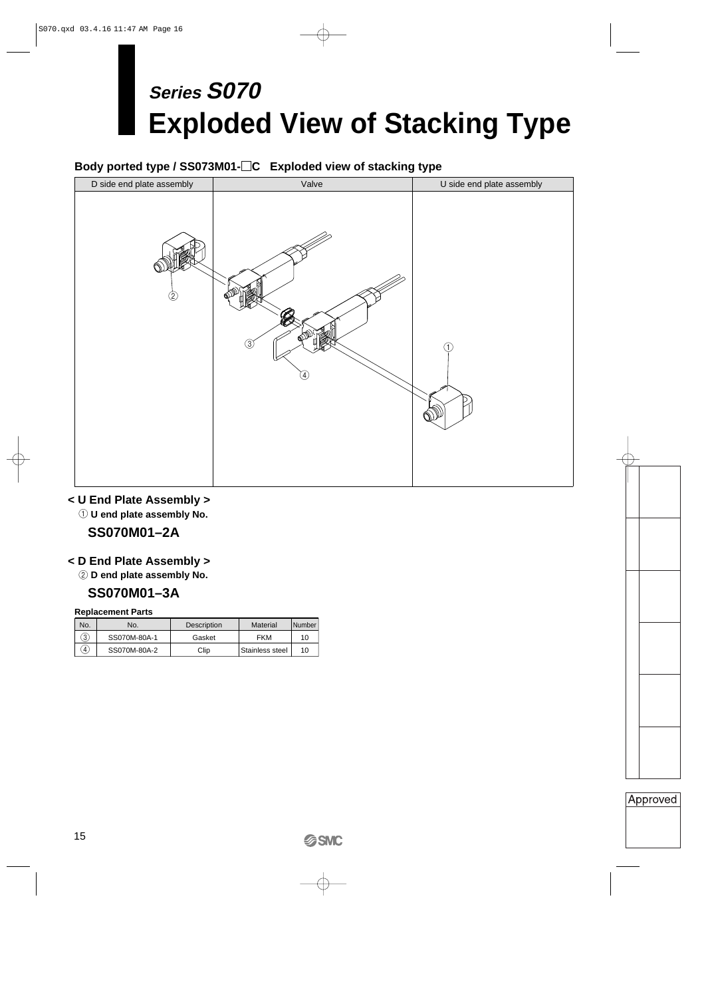# **Exploded View of Stacking Type Series S070**

## **Body ported type / SS073M01-C Exploded view of stacking type**



## **< U End Plate Assembly >**

**1 U end plate assembly No.** 

## **SS070M01–2A**

## **< D End Plate Assembly >**

2 **D end plate assembly No.**

## **SS070M01–3A**

#### **Replacement Parts**

| No.               | No.          | Description | Material        | Number |
|-------------------|--------------|-------------|-----------------|--------|
| 3                 | SS070M-80A-1 | Gasket      | FKM             | 10     |
| $\left( 4\right)$ | SS070M-80A-2 | Clip        | Stainless steel | 10     |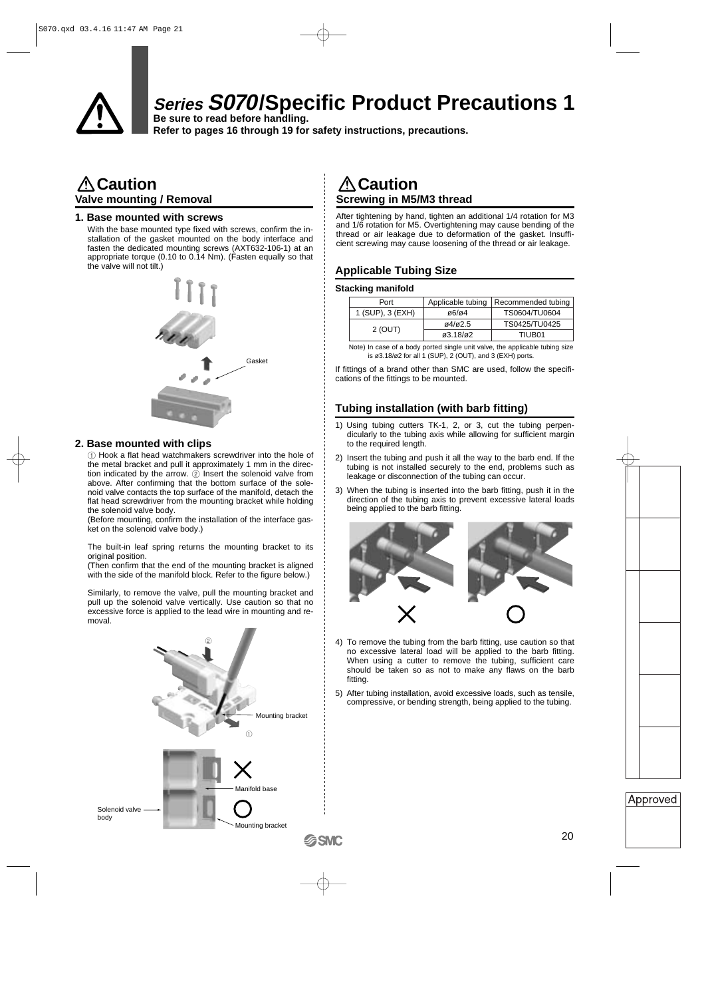

## **Series S070/Specific Product Precautions 1**

**Be sure to read before handling. Refer to pages 16 through 19 for safety instructions, precautions.**

## **Caution Valve mounting / Removal**

#### **1. Base mounted with screws**

With the base mounted type fixed with screws, confirm the installation of the gasket mounted on the body interface and fasten the dedicated mounting screws (AXT632-106-1) at an appropriate torque (0.10 to 0.14 Nm). (Fasten equally so that the valve will not tilt.)



#### **2. Base mounted with clips**

1 Hook a flat head watchmakers screwdriver into the hole of the metal bracket and pull it approximately 1 mm in the direction indicated by the arrow.  $(2)$  Insert the solenoid valve from above. After confirming that the bottom surface of the solenoid valve contacts the top surface of the manifold, detach the flat head screwdriver from the mounting bracket while holding the solenoid valve body.

(Before mounting, confirm the installation of the interface gasket on the solenoid valve body.)

The built-in leaf spring returns the mounting bracket to its original position.

(Then confirm that the end of the mounting bracket is aligned with the side of the manifold block. Refer to the figure below.)

Similarly, to remove the valve, pull the mounting bracket and pull up the solenoid valve vertically. Use caution so that no excessive force is applied to the lead wire in mounting and removal.



## **Caution Screwing in M5/M3 thread**

After tightening by hand, tighten an additional 1/4 rotation for M3 and 1/6 rotation for M5. Overtightening may cause bending of the thread or air leakage due to deformation of the gasket. Insufficient screwing may cause loosening of the thread or air leakage.

### **Applicable Tubing Size**

#### **Stacking manifold**

| Port             | Applicable tubing                   | Recommended tubing |
|------------------|-------------------------------------|--------------------|
| 1 (SUP), 3 (EXH) | $\alpha$ 6/ $\alpha$ 4              | TS0604/TU0604      |
| 2 (OUT)          | 04/02.5                             | TS0425/TU0425      |
|                  | $\varnothing$ 3.18/ $\varnothing$ 2 | TIUB01             |

Note) In case of a body ported single unit valve, the applicable tubing size is ø3.18/ø2 for all 1 (SUP), 2 (OUT), and 3 (EXH) ports.

If fittings of a brand other than SMC are used, follow the specifications of the fittings to be mounted.

## **Tubing installation (with barb fitting)**

- 1) Using tubing cutters TK-1, 2, or 3, cut the tubing perpendicularly to the tubing axis while allowing for sufficient margin to the required length.
- 2) Insert the tubing and push it all the way to the barb end. If the tubing is not installed securely to the end, problems such as leakage or disconnection of the tubing can occur.
- 3) When the tubing is inserted into the barb fitting, push it in the direction of the tubing axis to prevent excessive lateral loads being applied to the barb fitting.



- 4) To remove the tubing from the barb fitting, use caution so that no excessive lateral load will be applied to the barb fitting. When using a cutter to remove the tubing, sufficient care should be taken so as not to make any flaws on the barb fitting.
- 5) After tubing installation, avoid excessive loads, such as tensile, compressive, or bending strength, being applied to the tubing.

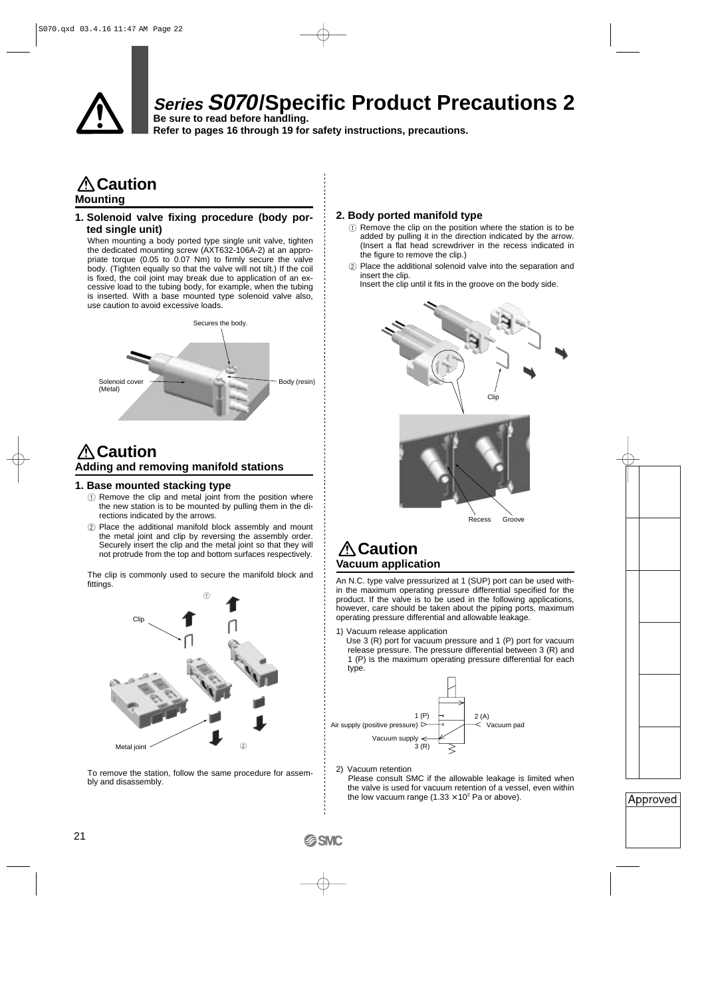

## **Series S070/Specific Product Precautions 2**

**Be sure to read before handling. Refer to pages 16 through 19 for safety instructions, precautions.**

## **Caution Mounting**

#### **1. Solenoid valve fixing procedure (body ported single unit)**

When mounting a body ported type single unit valve, tighten the dedicated mounting screw (AXT632-106A-2) at an appropriate torque (0.05 to 0.07 Nm) to firmly secure the valve body. (Tighten equally so that the valve will not tilt.) If the coil is fixed, the coil joint may break due to application of an excessive load to the tubing body, for example, when the tubing is inserted. With a base mounted type solenoid valve also, use caution to avoid excessive loads.



## **Caution Adding and removing manifold stations**

#### **1. Base mounted stacking type**

- 1 Remove the clip and metal joint from the position where the new station is to be mounted by pulling them in the directions indicated by the arrows.
- 2 Place the additional manifold block assembly and mount the metal joint and clip by reversing the assembly order. Securely insert the clip and the metal joint so that they will not protrude from the top and bottom surfaces respectively.

The clip is commonly used to secure the manifold block and fittings.



To remove the station, follow the same procedure for assembly and disassembly.

#### **2. Body ported manifold type**

- 1 Remove the clip on the position where the station is to be added by pulling it in the direction indicated by the arrow. (Insert a flat head screwdriver in the recess indicated in the figure to remove the clip.)
- 2 Place the additional solenoid valve into the separation and insert the clip.

Insert the clip until it fits in the groove on the body side.



## **Caution Vacuum application**

An N.C. type valve pressurized at 1 (SUP) port can be used within the maximum operating pressure differential specified for the product. If the valve is to be used in the following applications, however, care should be taken about the piping ports, maximum operating pressure differential and allowable leakage.

1) Vacuum release application

Use 3 (R) port for vacuum pressure and 1 (P) port for vacuum release pressure. The pressure differential between 3 (R) and 1 (P) is the maximum operating pressure differential for each type.



2) Vacuum retention Please consult SMC if the allowable leakage is limited when the valve is used for vacuum retention of a vessel, even within the low vacuum range  $(1.33 \times 10^2 \text{ Pa or above}).$